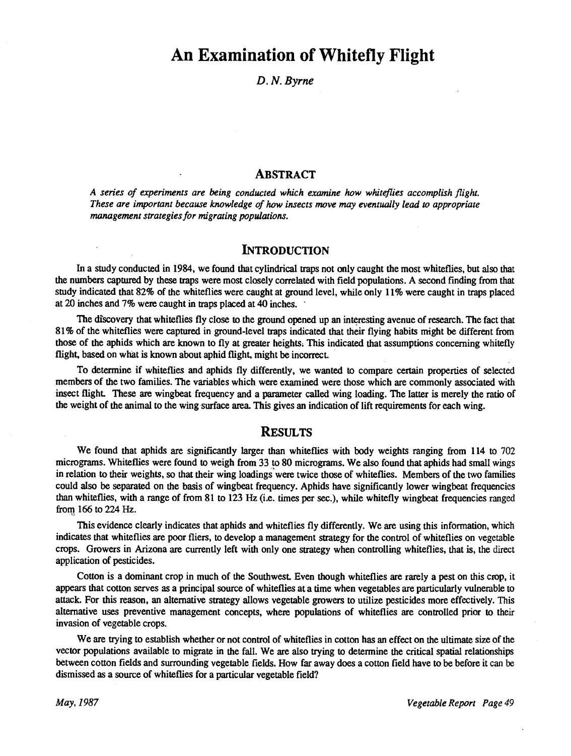## An Examination of Whitefly Flight

D. N. Byrne

## ABSTRACT

A series of experiments are being conducted which examine how whiteflies accomplish flight. These are important because knowledge of how insects move may eventually lead to appropriate management strategies for migrating populations.

## **INTRODUCTION**

In a study conducted in 1984, we found that cylindrical traps not only caught the most whiteflies, but also that the numbers captured by these traps were most closely correlated with field populations. A second finding from that study indicated that 82% of the whiteflies were caught at ground level, while only 11% were caught in traps placed at 20 inches and 7% were caught in traps placed at 40 inches.

The discovery that whiteflies fly close to the ground opened up an interesting avenue of research. The fact that 81% of the whiteflies were captured in ground -level traps indicated that their flying habits might be different from those of the aphids which are known to fly at greater heights. This indicated that assumptions concerning whitefly flight, based on what is known about aphid flight, might be incorrect.

To determine if whiteflies and aphids fly differently, we wanted to compare certain properties of selected members of the two families. The variables which were examined were those which are commonly associated with insect flight. These are wingbeat frequency and a parameter called wing loading. The latter is merely the ratio of the weight of the animal to the wing surface area. This gives an indication of lift requirements for each wing.

## **RESULTS**

We found that aphids are significantly larger than whiteflies with body weights ranging from 114 to 702 micrograms. Whiteflies were found to weigh from 33 to 80 micrograms. We also found that aphids had small wings in relation to their weights, so that their wing loadings were twice those of whiteflies. Members of the two families could also be separated on the basis of wingbeat frequency. Aphids have significantly lower wingbeat frequencies than whiteflies, with a range of from 81 to 123 Hz (i.e. times per sec.), while whitefly wingbeat frequencies ranged from 166 to 224 Hz.

This evidence clearly indicates that aphids and whiteflies fly differently. We are using this information, which indicates that whiteflies are poor fliers, to develop a management strategy for the control of whiteflies on vegetable crops. Growers in Arizona are currently left with only one strategy when controlling whiteflies, that is, the direct application of pesticides.

Cotton is a dominant crop in much of the Southwest. Even though whiteflies are rarely a pest on this crop, it appears that cotton serves as a principal source of whiteflies at a time when vegetables are particularly vulnerable to attack. For this reason, an alternative strategy allows vegetable growers to utilize pesticides more effectively. This alternative uses preventive management concepts, where populations of whiteflies are controlled prior to their invasion of vegetable crops.

We are trying to establish whether or not control of whiteflies in cotton has an effect on the ultimate size of the vector populations available to migrate in the fall. We are also trying to determine the critical spatial relationships between cotton fields and surrounding vegetable fields. How far away does a cotton field have to be before it can be dismissed as a source of whiteflies for a particular vegetable field?